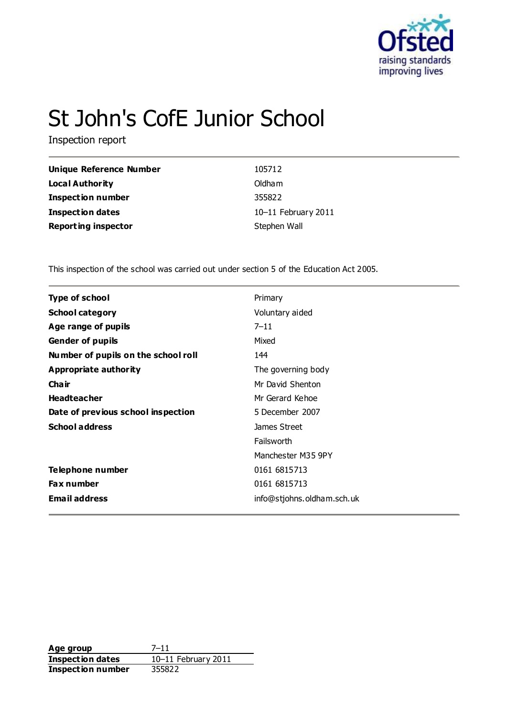

# St John's CofE Junior School

Inspection report

| <b>Unique Reference Number</b> | 105712              |
|--------------------------------|---------------------|
| Local Authority                | Oldham              |
| <b>Inspection number</b>       | 355822              |
| Inspection dates               | 10-11 February 2011 |
| <b>Reporting inspector</b>     | Stephen Wall        |

This inspection of the school was carried out under section 5 of the Education Act 2005.

| <b>Type of school</b>               | Primary                    |
|-------------------------------------|----------------------------|
| <b>School category</b>              | Voluntary aided            |
| Age range of pupils                 | $7 - 11$                   |
| <b>Gender of pupils</b>             | Mixed                      |
| Number of pupils on the school roll | 144                        |
| Appropriate authority               | The governing body         |
| Cha ir                              | Mr David Shenton           |
| <b>Headteacher</b>                  | Mr Gerard Kehoe            |
| Date of previous school inspection  | 5 December 2007            |
| <b>School address</b>               | James Street               |
|                                     | Failsworth                 |
|                                     | Manchester M35 9PY         |
| Telephone number                    | 0161 6815713               |
| <b>Fax number</b>                   | 0161 6815713               |
| <b>Email address</b>                | info@stjohns.oldham.sch.uk |

**Age group** 7–11 **Inspection dates** 10–11 February 2011 **Inspection number** 355822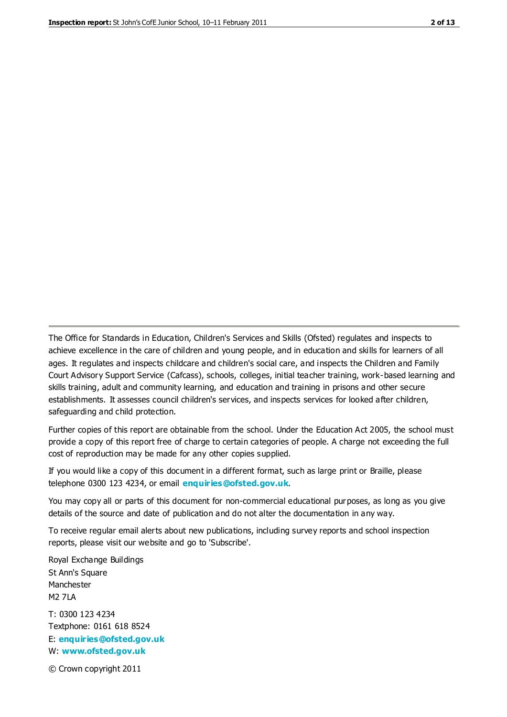The Office for Standards in Education, Children's Services and Skills (Ofsted) regulates and inspects to achieve excellence in the care of children and young people, and in education and skills for learners of all ages. It regulates and inspects childcare and children's social care, and inspects the Children and Family Court Advisory Support Service (Cafcass), schools, colleges, initial teacher training, work-based learning and skills training, adult and community learning, and education and training in prisons and other secure establishments. It assesses council children's services, and inspects services for looked after children, safeguarding and child protection.

Further copies of this report are obtainable from the school. Under the Education Act 2005, the school must provide a copy of this report free of charge to certain categories of people. A charge not exceeding the full cost of reproduction may be made for any other copies supplied.

If you would like a copy of this document in a different format, such as large print or Braille, please telephone 0300 123 4234, or email **[enquiries@ofsted.gov.uk](mailto:enquiries@ofsted.gov.uk)**.

You may copy all or parts of this document for non-commercial educational purposes, as long as you give details of the source and date of publication and do not alter the documentation in any way.

To receive regular email alerts about new publications, including survey reports and school inspection reports, please visit our website and go to 'Subscribe'.

Royal Exchange Buildings St Ann's Square Manchester M2 7LA T: 0300 123 4234 Textphone: 0161 618 8524 E: **[enquiries@ofsted.gov.uk](mailto:enquiries@ofsted.gov.uk)**

W: **[www.ofsted.gov.uk](http://www.ofsted.gov.uk/)**

© Crown copyright 2011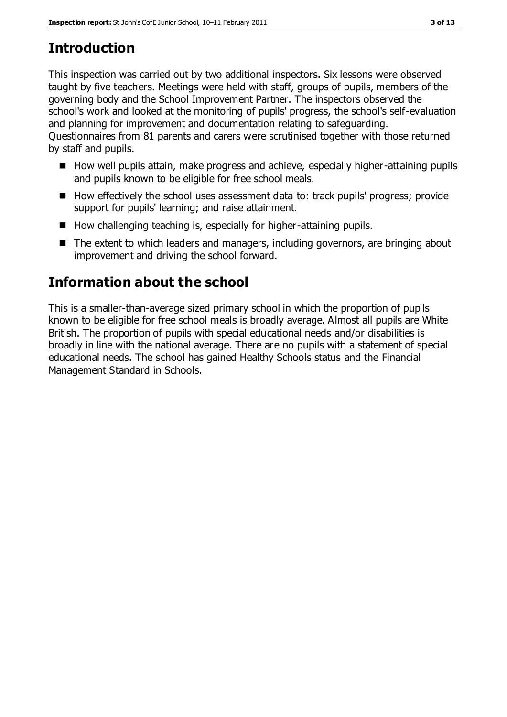# **Introduction**

This inspection was carried out by two additional inspectors. Six lessons were observed taught by five teachers. Meetings were held with staff, groups of pupils, members of the governing body and the School Improvement Partner. The inspectors observed the school's work and looked at the monitoring of pupils' progress, the school's self-evaluation and planning for improvement and documentation relating to safeguarding. Questionnaires from 81 parents and carers were scrutinised together with those returned by staff and pupils.

- How well pupils attain, make progress and achieve, especially higher-attaining pupils and pupils known to be eligible for free school meals.
- How effectively the school uses assessment data to: track pupils' progress; provide support for pupils' learning; and raise attainment.
- $\blacksquare$  How challenging teaching is, especially for higher-attaining pupils.
- The extent to which leaders and managers, including governors, are bringing about improvement and driving the school forward.

# **Information about the school**

This is a smaller-than-average sized primary school in which the proportion of pupils known to be eligible for free school meals is broadly average. Almost all pupils are White British. The proportion of pupils with special educational needs and/or disabilities is broadly in line with the national average. There are no pupils with a statement of special educational needs. The school has gained Healthy Schools status and the Financial Management Standard in Schools.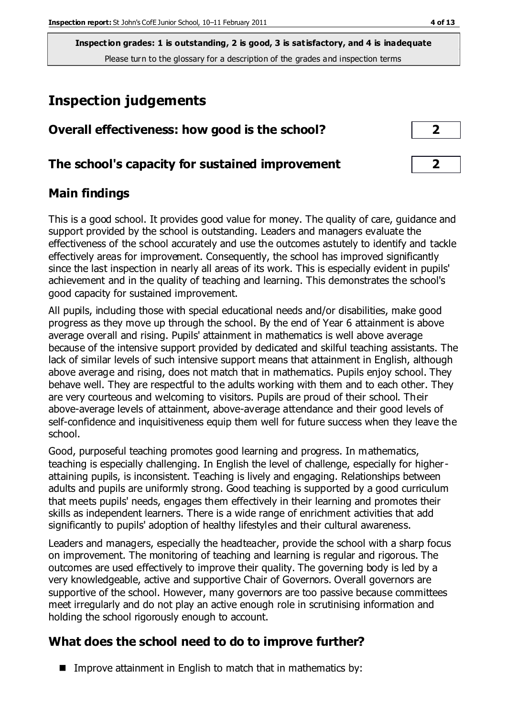# **Inspection judgements**

| Overall effectiveness: how good is the school?  | $\overline{2}$          |  |
|-------------------------------------------------|-------------------------|--|
| The school's capacity for sustained improvement | $\overline{\mathbf{2}}$ |  |

## **Main findings**

This is a good school. It provides good value for money. The quality of care, guidance and support provided by the school is outstanding. Leaders and managers evaluate the effectiveness of the school accurately and use the outcomes astutely to identify and tackle effectively areas for improvement. Consequently, the school has improved significantly since the last inspection in nearly all areas of its work. This is especially evident in pupils' achievement and in the quality of teaching and learning. This demonstrates the school's good capacity for sustained improvement.

All pupils, including those with special educational needs and/or disabilities, make good progress as they move up through the school. By the end of Year 6 attainment is above average overall and rising. Pupils' attainment in mathematics is well above average because of the intensive support provided by dedicated and skilful teaching assistants. The lack of similar levels of such intensive support means that attainment in English, although above average and rising, does not match that in mathematics. Pupils enjoy school. They behave well. They are respectful to the adults working with them and to each other. They are very courteous and welcoming to visitors. Pupils are proud of their school. Their above-average levels of attainment, above-average attendance and their good levels of self-confidence and inquisitiveness equip them well for future success when they leave the school.

Good, purposeful teaching promotes good learning and progress. In mathematics, teaching is especially challenging. In English the level of challenge, especially for higherattaining pupils, is inconsistent. Teaching is lively and engaging. Relationships between adults and pupils are uniformly strong. Good teaching is supported by a good curriculum that meets pupils' needs, engages them effectively in their learning and promotes their skills as independent learners. There is a wide range of enrichment activities that add significantly to pupils' adoption of healthy lifestyles and their cultural awareness.

Leaders and managers, especially the headteacher, provide the school with a sharp focus on improvement. The monitoring of teaching and learning is regular and rigorous. The outcomes are used effectively to improve their quality. The governing body is led by a very knowledgeable, active and supportive Chair of Governors. Overall governors are supportive of the school. However, many governors are too passive because committees meet irregularly and do not play an active enough role in scrutinising information and holding the school rigorously enough to account.

# **What does the school need to do to improve further?**

Improve attainment in English to match that in mathematics by: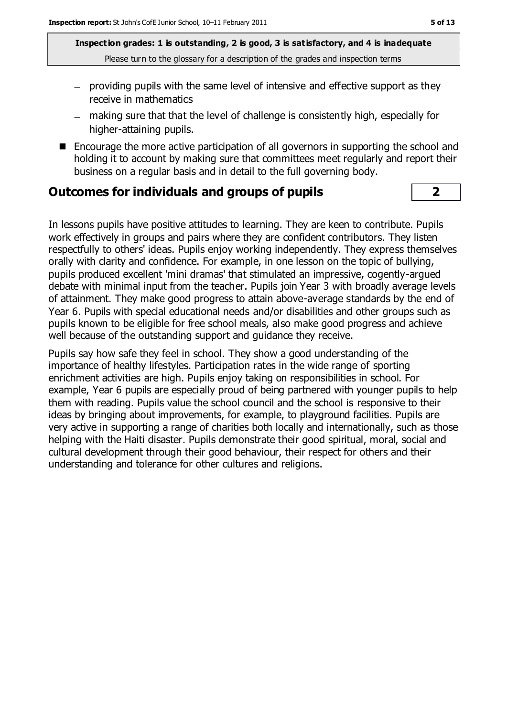- $-$  providing pupils with the same level of intensive and effective support as they receive in mathematics
- making sure that that the level of challenge is consistently high, especially for higher-attaining pupils.
- Encourage the more active participation of all governors in supporting the school and holding it to account by making sure that committees meet regularly and report their business on a regular basis and in detail to the full governing body.

### **Outcomes for individuals and groups of pupils 2**

In lessons pupils have positive attitudes to learning. They are keen to contribute. Pupils work effectively in groups and pairs where they are confident contributors. They listen respectfully to others' ideas. Pupils enjoy working independently. They express themselves orally with clarity and confidence. For example, in one lesson on the topic of bullying, pupils produced excellent 'mini dramas' that stimulated an impressive, cogently-argued debate with minimal input from the teacher. Pupils join Year 3 with broadly average levels of attainment. They make good progress to attain above-average standards by the end of Year 6. Pupils with special educational needs and/or disabilities and other groups such as pupils known to be eligible for free school meals, also make good progress and achieve well because of the outstanding support and guidance they receive.

Pupils say how safe they feel in school. They show a good understanding of the importance of healthy lifestyles. Participation rates in the wide range of sporting enrichment activities are high. Pupils enjoy taking on responsibilities in school. For example, Year 6 pupils are especially proud of being partnered with younger pupils to help them with reading. Pupils value the school council and the school is responsive to their ideas by bringing about improvements, for example, to playground facilities. Pupils are very active in supporting a range of charities both locally and internationally, such as those helping with the Haiti disaster. Pupils demonstrate their good spiritual, moral, social and cultural development through their good behaviour, their respect for others and their understanding and tolerance for other cultures and religions.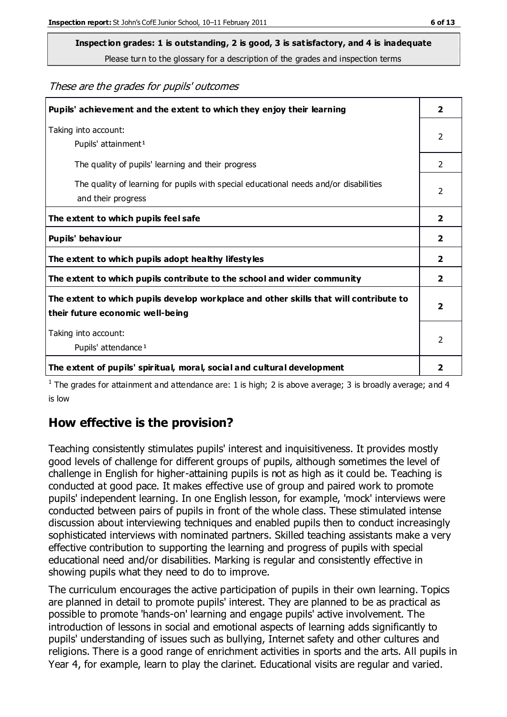**Inspection grades: 1 is outstanding, 2 is good, 3 is satisfactory, and 4 is inadequate**

Please turn to the glossary for a description of the grades and inspection terms

These are the grades for pupils' outcomes

| Pupils' achievement and the extent to which they enjoy their learning                                                     | $\overline{2}$ |
|---------------------------------------------------------------------------------------------------------------------------|----------------|
| Taking into account:<br>Pupils' attainment <sup>1</sup>                                                                   | 2              |
| The quality of pupils' learning and their progress                                                                        | $\mathcal{P}$  |
| The quality of learning for pupils with special educational needs and/or disabilities<br>and their progress               | $\overline{2}$ |
| The extent to which pupils feel safe                                                                                      | $\mathbf{2}$   |
| Pupils' behaviour                                                                                                         | 2              |
| The extent to which pupils adopt healthy lifestyles                                                                       | $\overline{2}$ |
| The extent to which pupils contribute to the school and wider community                                                   | $\mathbf{2}$   |
| The extent to which pupils develop workplace and other skills that will contribute to<br>their future economic well-being |                |
| Taking into account:<br>Pupils' attendance <sup>1</sup>                                                                   | $\mathcal{P}$  |
| The extent of pupils' spiritual, moral, social and cultural development                                                   | 2              |

<sup>1</sup> The grades for attainment and attendance are: 1 is high; 2 is above average; 3 is broadly average; and 4 is low

### **How effective is the provision?**

Teaching consistently stimulates pupils' interest and inquisitiveness. It provides mostly good levels of challenge for different groups of pupils, although sometimes the level of challenge in English for higher-attaining pupils is not as high as it could be. Teaching is conducted at good pace. It makes effective use of group and paired work to promote pupils' independent learning. In one English lesson, for example, 'mock' interviews were conducted between pairs of pupils in front of the whole class. These stimulated intense discussion about interviewing techniques and enabled pupils then to conduct increasingly sophisticated interviews with nominated partners. Skilled teaching assistants make a very effective contribution to supporting the learning and progress of pupils with special educational need and/or disabilities. Marking is regular and consistently effective in showing pupils what they need to do to improve.

The curriculum encourages the active participation of pupils in their own learning. Topics are planned in detail to promote pupils' interest. They are planned to be as practical as possible to promote 'hands-on' learning and engage pupils' active involvement. The introduction of lessons in social and emotional aspects of learning adds significantly to pupils' understanding of issues such as bullying, Internet safety and other cultures and religions. There is a good range of enrichment activities in sports and the arts. All pupils in Year 4, for example, learn to play the clarinet. Educational visits are regular and varied.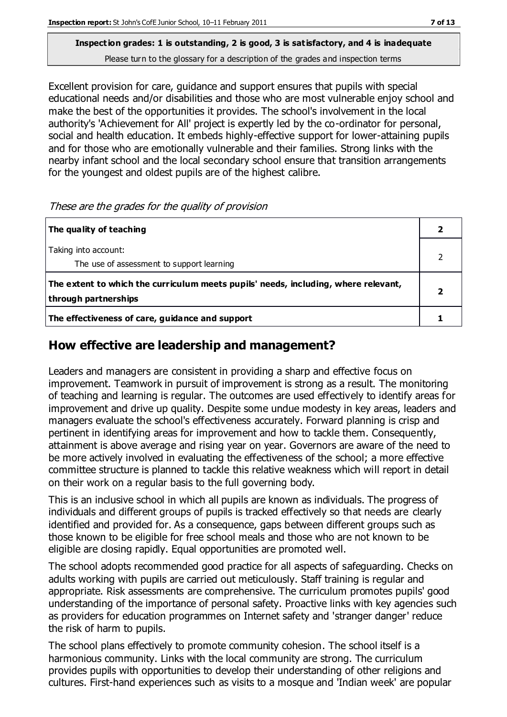Excellent provision for care, guidance and support ensures that pupils with special educational needs and/or disabilities and those who are most vulnerable enjoy school and make the best of the opportunities it provides. The school's involvement in the local authority's 'Achievement for All' project is expertly led by the co-ordinator for personal, social and health education. It embeds highly-effective support for lower-attaining pupils and for those who are emotionally vulnerable and their families. Strong links with the nearby infant school and the local secondary school ensure that transition arrangements for the youngest and oldest pupils are of the highest calibre.

These are the grades for the quality of provision

| The quality of teaching                                                                                    |  |
|------------------------------------------------------------------------------------------------------------|--|
| Taking into account:<br>The use of assessment to support learning                                          |  |
| The extent to which the curriculum meets pupils' needs, including, where relevant,<br>through partnerships |  |
| The effectiveness of care, guidance and support                                                            |  |

## **How effective are leadership and management?**

Leaders and managers are consistent in providing a sharp and effective focus on improvement. Teamwork in pursuit of improvement is strong as a result. The monitoring of teaching and learning is regular. The outcomes are used effectively to identify areas for improvement and drive up quality. Despite some undue modesty in key areas, leaders and managers evaluate the school's effectiveness accurately. Forward planning is crisp and pertinent in identifying areas for improvement and how to tackle them. Consequently, attainment is above average and rising year on year. Governors are aware of the need to be more actively involved in evaluating the effectiveness of the school; a more effective committee structure is planned to tackle this relative weakness which will report in detail on their work on a regular basis to the full governing body.

This is an inclusive school in which all pupils are known as individuals. The progress of individuals and different groups of pupils is tracked effectively so that needs are clearly identified and provided for. As a consequence, gaps between different groups such as those known to be eligible for free school meals and those who are not known to be eligible are closing rapidly. Equal opportunities are promoted well.

The school adopts recommended good practice for all aspects of safeguarding. Checks on adults working with pupils are carried out meticulously. Staff training is regular and appropriate. Risk assessments are comprehensive. The curriculum promotes pupils' good understanding of the importance of personal safety. Proactive links with key agencies such as providers for education programmes on Internet safety and 'stranger danger' reduce the risk of harm to pupils.

The school plans effectively to promote community cohesion. The school itself is a harmonious community. Links with the local community are strong. The curriculum provides pupils with opportunities to develop their understanding of other religions and cultures. First-hand experiences such as visits to a mosque and 'Indian week' are popular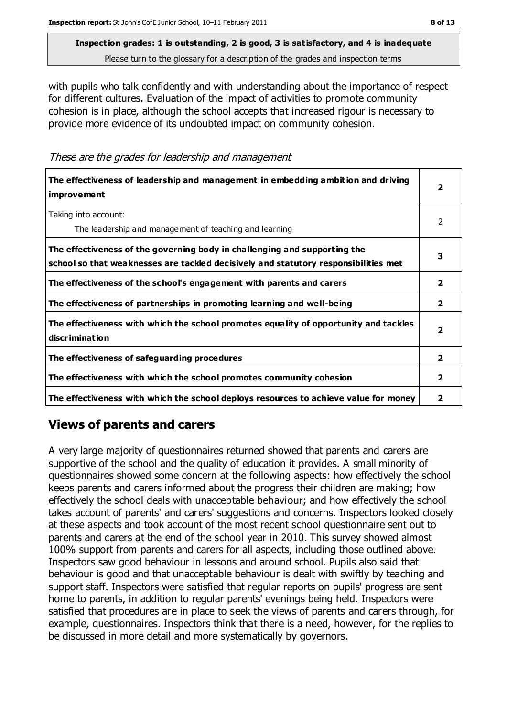with pupils who talk confidently and with understanding about the importance of respect for different cultures. Evaluation of the impact of activities to promote community cohesion is in place, although the school accepts that increased rigour is necessary to provide more evidence of its undoubted impact on community cohesion.

These are the grades for leadership and management

| The effectiveness of leadership and management in embedding ambition and driving<br><i>improvement</i>                                                           |                         |
|------------------------------------------------------------------------------------------------------------------------------------------------------------------|-------------------------|
| Taking into account:<br>The leadership and management of teaching and learning                                                                                   | 2                       |
| The effectiveness of the governing body in challenging and supporting the<br>school so that weaknesses are tackled decisively and statutory responsibilities met | 3                       |
| The effectiveness of the school's engagement with parents and carers                                                                                             | $\mathbf{2}$            |
| The effectiveness of partnerships in promoting learning and well-being                                                                                           | $\mathbf{2}$            |
| The effectiveness with which the school promotes equality of opportunity and tackles<br>discrimination                                                           | $\overline{\mathbf{2}}$ |
| The effectiveness of safeguarding procedures                                                                                                                     | $\mathbf{2}$            |
| The effectiveness with which the school promotes community cohesion                                                                                              | $\overline{2}$          |
| The effectiveness with which the school deploys resources to achieve value for money                                                                             | 2                       |

## **Views of parents and carers**

A very large majority of questionnaires returned showed that parents and carers are supportive of the school and the quality of education it provides. A small minority of questionnaires showed some concern at the following aspects: how effectively the school keeps parents and carers informed about the progress their children are making; how effectively the school deals with unacceptable behaviour; and how effectively the school takes account of parents' and carers' suggestions and concerns. Inspectors looked closely at these aspects and took account of the most recent school questionnaire sent out to parents and carers at the end of the school year in 2010. This survey showed almost 100% support from parents and carers for all aspects, including those outlined above. Inspectors saw good behaviour in lessons and around school. Pupils also said that behaviour is good and that unacceptable behaviour is dealt with swiftly by teaching and support staff. Inspectors were satisfied that regular reports on pupils' progress are sent home to parents, in addition to regular parents' evenings being held. Inspectors were satisfied that procedures are in place to seek the views of parents and carers through, for example, questionnaires. Inspectors think that there is a need, however, for the replies to be discussed in more detail and more systematically by governors.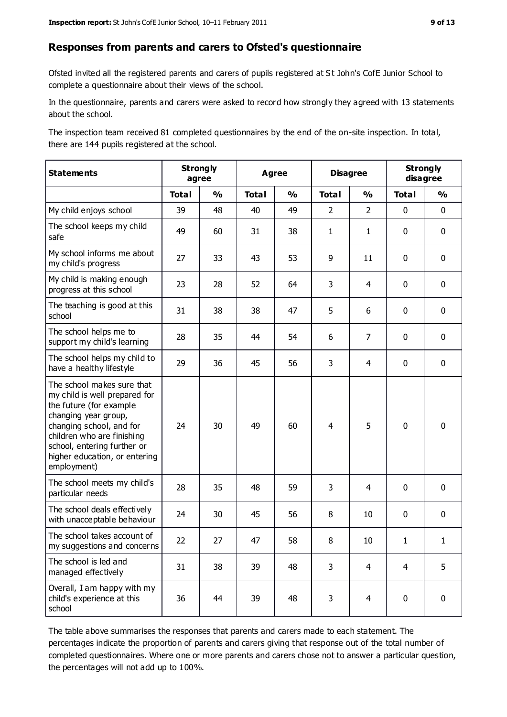#### **Responses from parents and carers to Ofsted's questionnaire**

Ofsted invited all the registered parents and carers of pupils registered at St John's CofE Junior School to complete a questionnaire about their views of the school.

In the questionnaire, parents and carers were asked to record how strongly they agreed with 13 statements about the school.

The inspection team received 81 completed questionnaires by the end of the on-site inspection. In total, there are 144 pupils registered at the school.

| <b>Statements</b>                                                                                                                                                                                                                                       |              | <b>Strongly</b><br><b>Agree</b><br>agree |              |               | <b>Disagree</b> |                | <b>Strongly</b><br>disagree |               |
|---------------------------------------------------------------------------------------------------------------------------------------------------------------------------------------------------------------------------------------------------------|--------------|------------------------------------------|--------------|---------------|-----------------|----------------|-----------------------------|---------------|
|                                                                                                                                                                                                                                                         | <b>Total</b> | $\frac{1}{2}$                            | <b>Total</b> | $\frac{1}{2}$ | <b>Total</b>    | $\frac{1}{2}$  | <b>Total</b>                | $\frac{1}{2}$ |
| My child enjoys school                                                                                                                                                                                                                                  | 39           | 48                                       | 40           | 49            | $\overline{2}$  | $\overline{2}$ | $\mathbf 0$                 | $\mathbf 0$   |
| The school keeps my child<br>safe                                                                                                                                                                                                                       | 49           | 60                                       | 31           | 38            | $\mathbf{1}$    | $\mathbf{1}$   | $\mathbf 0$                 | $\mathbf 0$   |
| My school informs me about<br>my child's progress                                                                                                                                                                                                       | 27           | 33                                       | 43           | 53            | 9               | 11             | $\mathbf 0$                 | $\mathbf 0$   |
| My child is making enough<br>progress at this school                                                                                                                                                                                                    | 23           | 28                                       | 52           | 64            | 3               | $\overline{4}$ | $\mathbf 0$                 | $\mathbf 0$   |
| The teaching is good at this<br>school                                                                                                                                                                                                                  | 31           | 38                                       | 38           | 47            | 5               | 6              | $\mathbf 0$                 | $\mathbf 0$   |
| The school helps me to<br>support my child's learning                                                                                                                                                                                                   | 28           | 35                                       | 44           | 54            | 6               | $\overline{7}$ | $\mathbf 0$                 | $\mathbf 0$   |
| The school helps my child to<br>have a healthy lifestyle                                                                                                                                                                                                | 29           | 36                                       | 45           | 56            | 3               | 4              | $\mathbf 0$                 | $\mathbf 0$   |
| The school makes sure that<br>my child is well prepared for<br>the future (for example<br>changing year group,<br>changing school, and for<br>children who are finishing<br>school, entering further or<br>higher education, or entering<br>employment) | 24           | 30                                       | 49           | 60            | 4               | 5              | $\mathbf 0$                 | $\mathbf 0$   |
| The school meets my child's<br>particular needs                                                                                                                                                                                                         | 28           | 35                                       | 48           | 59            | 3               | $\overline{4}$ | $\mathbf 0$                 | $\mathbf 0$   |
| The school deals effectively<br>with unacceptable behaviour                                                                                                                                                                                             | 24           | 30                                       | 45           | 56            | 8               | 10             | $\mathbf 0$                 | $\pmb{0}$     |
| The school takes account of<br>my suggestions and concerns                                                                                                                                                                                              | 22           | 27                                       | 47           | 58            | 8               | 10             | 1                           | 1             |
| The school is led and<br>managed effectively                                                                                                                                                                                                            | 31           | 38                                       | 39           | 48            | 3               | $\overline{4}$ | $\overline{4}$              | 5             |
| Overall, I am happy with my<br>child's experience at this<br>school                                                                                                                                                                                     | 36           | 44                                       | 39           | 48            | 3               | $\overline{4}$ | $\mathbf 0$                 | $\pmb{0}$     |

The table above summarises the responses that parents and carers made to each statement. The percentages indicate the proportion of parents and carers giving that response out of the total number of completed questionnaires. Where one or more parents and carers chose not to answer a particular question, the percentages will not add up to 100%.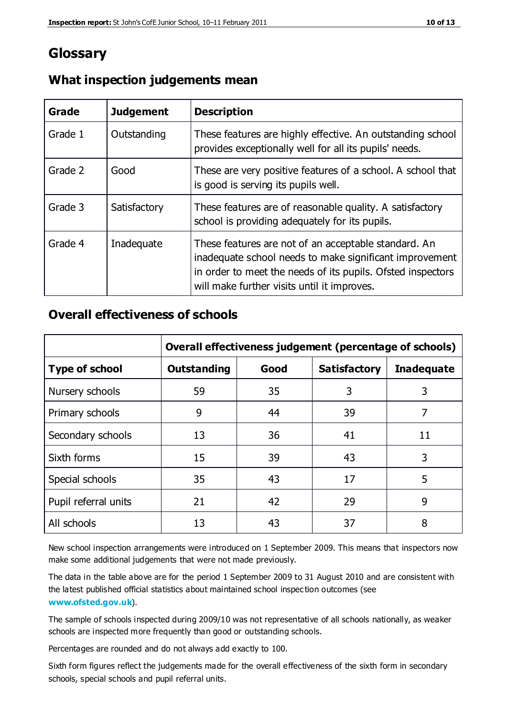# **Glossary**

| Grade   | <b>Judgement</b> | <b>Description</b>                                                                                                                                                                                                            |
|---------|------------------|-------------------------------------------------------------------------------------------------------------------------------------------------------------------------------------------------------------------------------|
| Grade 1 | Outstanding      | These features are highly effective. An outstanding school<br>provides exceptionally well for all its pupils' needs.                                                                                                          |
| Grade 2 | Good             | These are very positive features of a school. A school that<br>is good is serving its pupils well.                                                                                                                            |
| Grade 3 | Satisfactory     | These features are of reasonable quality. A satisfactory<br>school is providing adequately for its pupils.                                                                                                                    |
| Grade 4 | Inadequate       | These features are not of an acceptable standard. An<br>inadequate school needs to make significant improvement<br>in order to meet the needs of its pupils. Ofsted inspectors<br>will make further visits until it improves. |

## **What inspection judgements mean**

## **Overall effectiveness of schools**

|                       | Overall effectiveness judgement (percentage of schools) |      |                     |                   |
|-----------------------|---------------------------------------------------------|------|---------------------|-------------------|
| <b>Type of school</b> | <b>Outstanding</b>                                      | Good | <b>Satisfactory</b> | <b>Inadequate</b> |
| Nursery schools       | 59                                                      | 35   | 3                   | 3                 |
| Primary schools       | 9                                                       | 44   | 39                  | 7                 |
| Secondary schools     | 13                                                      | 36   | 41                  | 11                |
| Sixth forms           | 15                                                      | 39   | 43                  | 3                 |
| Special schools       | 35                                                      | 43   | 17                  | 5                 |
| Pupil referral units  | 21                                                      | 42   | 29                  | 9                 |
| All schools           | 13                                                      | 43   | 37                  | 8                 |

New school inspection arrangements were introduced on 1 September 2009. This means that inspectors now make some additional judgements that were not made previously.

The data in the table above are for the period 1 September 2009 to 31 August 2010 and are consistent with the latest published official statistics about maintained school inspec tion outcomes (see **[www.ofsted.gov.uk](http://www.ofsted.gov.uk/)**).

The sample of schools inspected during 2009/10 was not representative of all schools nationally, as weaker schools are inspected more frequently than good or outstanding schools.

Percentages are rounded and do not always add exactly to 100.

Sixth form figures reflect the judgements made for the overall effectiveness of the sixth form in secondary schools, special schools and pupil referral units.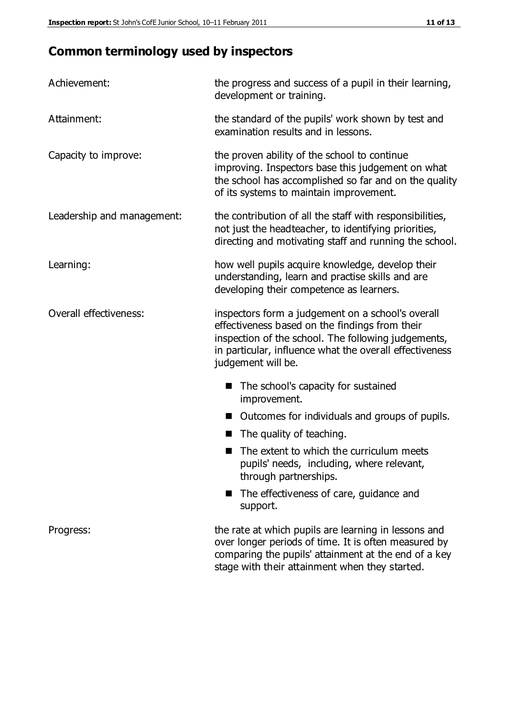# **Common terminology used by inspectors**

| Achievement:               | the progress and success of a pupil in their learning,<br>development or training.                                                                                                                                                          |  |  |
|----------------------------|---------------------------------------------------------------------------------------------------------------------------------------------------------------------------------------------------------------------------------------------|--|--|
| Attainment:                | the standard of the pupils' work shown by test and<br>examination results and in lessons.                                                                                                                                                   |  |  |
| Capacity to improve:       | the proven ability of the school to continue<br>improving. Inspectors base this judgement on what<br>the school has accomplished so far and on the quality<br>of its systems to maintain improvement.                                       |  |  |
| Leadership and management: | the contribution of all the staff with responsibilities,<br>not just the headteacher, to identifying priorities,<br>directing and motivating staff and running the school.                                                                  |  |  |
| Learning:                  | how well pupils acquire knowledge, develop their<br>understanding, learn and practise skills and are<br>developing their competence as learners.                                                                                            |  |  |
| Overall effectiveness:     | inspectors form a judgement on a school's overall<br>effectiveness based on the findings from their<br>inspection of the school. The following judgements,<br>in particular, influence what the overall effectiveness<br>judgement will be. |  |  |
|                            | The school's capacity for sustained<br>improvement.                                                                                                                                                                                         |  |  |
|                            | Outcomes for individuals and groups of pupils.                                                                                                                                                                                              |  |  |
|                            | The quality of teaching.                                                                                                                                                                                                                    |  |  |
|                            | The extent to which the curriculum meets<br>pupils' needs, including, where relevant,<br>through partnerships.                                                                                                                              |  |  |
|                            | The effectiveness of care, guidance and<br>support.                                                                                                                                                                                         |  |  |
| Progress:                  | the rate at which pupils are learning in lessons and<br>over longer periods of time. It is often measured by<br>comparing the pupils' attainment at the end of a key                                                                        |  |  |

stage with their attainment when they started.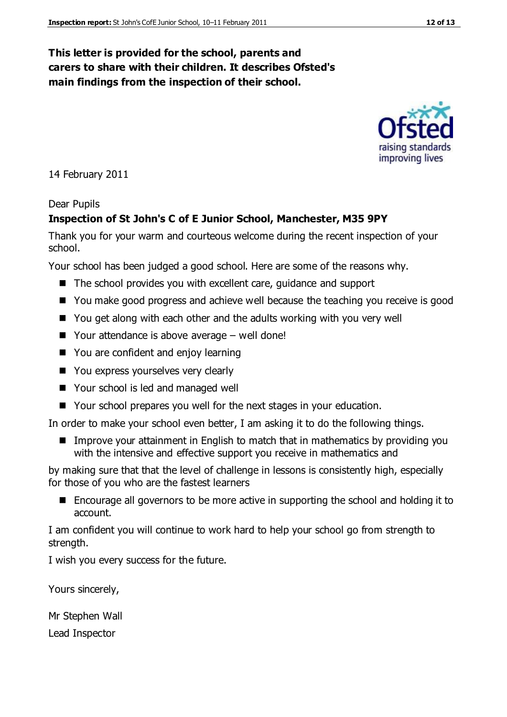## **This letter is provided for the school, parents and carers to share with their children. It describes Ofsted's main findings from the inspection of their school.**

14 February 2011

#### Dear Pupils

#### **Inspection of St John's C of E Junior School, Manchester, M35 9PY**

Thank you for your warm and courteous welcome during the recent inspection of your school.

Your school has been judged a good school. Here are some of the reasons why.

- The school provides you with excellent care, guidance and support
- You make good progress and achieve well because the teaching you receive is good
- You get along with each other and the adults working with you very well
- $\blacksquare$  Your attendance is above average well done!
- You are confident and enjoy learning
- You express yourselves very clearly
- Your school is led and managed well
- Your school prepares you well for the next stages in your education.

In order to make your school even better, I am asking it to do the following things.

■ Improve your attainment in English to match that in mathematics by providing you with the intensive and effective support you receive in mathematics and

by making sure that that the level of challenge in lessons is consistently high, especially for those of you who are the fastest learners

■ Encourage all governors to be more active in supporting the school and holding it to account.

I am confident you will continue to work hard to help your school go from strength to strength.

I wish you every success for the future.

Yours sincerely,

Mr Stephen Wall Lead Inspector